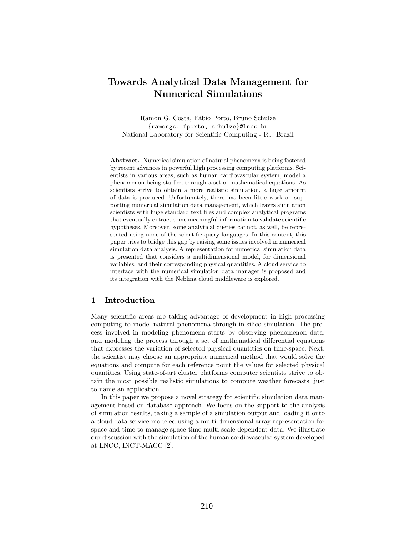# Towards Analytical Data Management for Numerical Simulations

Ramon G. Costa, Fábio Porto, Bruno Schulze {ramongc, fporto, schulze}@lncc.br National Laboratory for Scientific Computing - RJ, Brazil

Abstract. Numerical simulation of natural phenomena is being fostered by recent advances in powerful high processing computing platforms. Scientists in various areas, such as human cardiovascular system, model a phenomenon being studied through a set of mathematical equations. As scientists strive to obtain a more realistic simulation, a huge amount of data is produced. Unfortunately, there has been little work on supporting numerical simulation data management, which leaves simulation scientists with huge standard text files and complex analytical programs that eventually extract some meaningful information to validate scientific hypotheses. Moreover, some analytical queries cannot, as well, be represented using none of the scientific query languages. In this context, this paper tries to bridge this gap by raising some issues involved in numerical simulation data analysis. A representation for numerical simulation data is presented that considers a multidimensional model, for dimensional variables, and their corresponding physical quantities. A cloud service to interface with the numerical simulation data manager is proposed and its integration with the Neblina cloud middleware is explored.

# 1 Introduction

Many scientific areas are taking advantage of development in high processing computing to model natural phenomena through in-silico simulation. The process involved in modeling phenomena starts by observing phenomenon data, and modeling the process through a set of mathematical differential equations that expresses the variation of selected physical quantities on time-space. Next, the scientist may choose an appropriate numerical method that would solve the equations and compute for each reference point the values for selected physical quantities. Using state-of-art cluster platforms computer scientists strive to obtain the most possible realistic simulations to compute weather forecasts, just to name an application.

In this paper we propose a novel strategy for scientific simulation data management based on database approach. We focus on the support to the analysis of simulation results, taking a sample of a simulation output and loading it onto a cloud data service modeled using a multi-dimensional array representation for space and time to manage space-time multi-scale dependent data. We illustrate our discussion with the simulation of the human cardiovascular system developed at LNCC, INCT-MACC [2].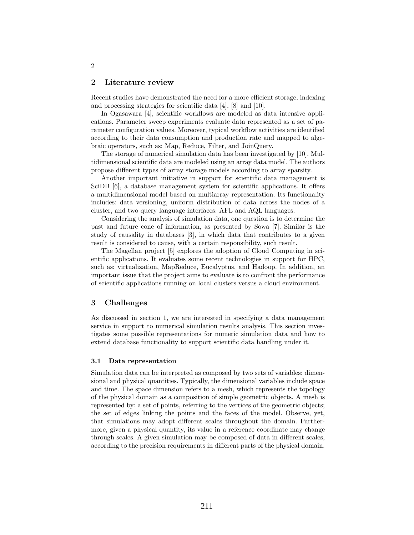# 2 Literature review

Recent studies have demonstrated the need for a more efficient storage, indexing and processing strategies for scientific data [4], [8] and [10].

In Ogasawara [4], scientific workflows are modeled as data intensive applications. Parameter sweep experiments evaluate data represented as a set of parameter configuration values. Moreover, typical workflow activities are identified according to their data consumption and production rate and mapped to algebraic operators, such as: Map, Reduce, Filter, and JoinQuery.

The storage of numerical simulation data has been investigated by [10]. Multidimensional scientific data are modeled using an array data model. The authors propose different types of array storage models according to array sparsity.

Another important initiative in support for scientific data management is SciDB [6], a database management system for scientific applications. It offers a multidimensional model based on multiarray representation. Its functionality includes: data versioning, uniform distribution of data across the nodes of a cluster, and two query language interfaces: AFL and AQL languages.

Considering the analysis of simulation data, one question is to determine the past and future cone of information, as presented by Sowa [7]. Similar is the study of causality in databases [3], in which data that contributes to a given result is considered to cause, with a certain responsibility, such result.

The Magellan project [5] explores the adoption of Cloud Computing in scientific applications. It evaluates some recent technologies in support for HPC, such as: virtualization, MapReduce, Eucalyptus, and Hadoop. In addition, an important issue that the project aims to evaluate is to confront the performance of scientific applications running on local clusters versus a cloud environment.

# 3 Challenges

As discussed in section 1, we are interested in specifying a data management service in support to numerical simulation results analysis. This section investigates some possible representations for numeric simulation data and how to extend database functionality to support scientific data handling under it.

#### 3.1 Data representation

Simulation data can be interpreted as composed by two sets of variables: dimensional and physical quantities. Typically, the dimensional variables include space and time. The space dimension refers to a mesh, which represents the topology of the physical domain as a composition of simple geometric objects. A mesh is represented by: a set of points, referring to the vertices of the geometric objects; the set of edges linking the points and the faces of the model. Observe, yet, that simulations may adopt different scales throughout the domain. Furthermore, given a physical quantity, its value in a reference coordinate may change through scales. A given simulation may be composed of data in different scales, according to the precision requirements in different parts of the physical domain.

2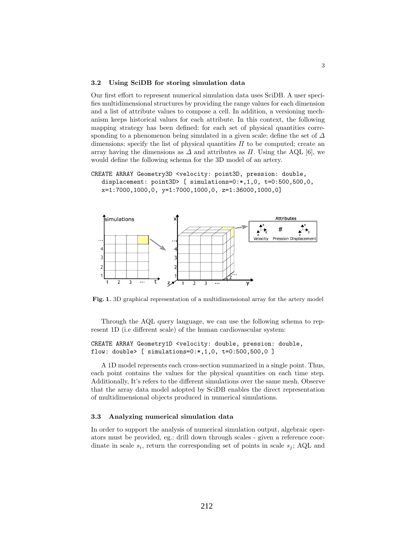#### 3.2 Using SciDB for storing simulation data

Our first effort to represent numerical simulation data uses SciDB. A user specifies multidimensional structures by providing the range values for each dimension and a list of attribute values to compose a cell. In addition, a versioning mechanism keeps historical values for each attribute. In this context, the following mapping strategy has been defined: for each set of physical quantities corresponding to a phenomenon being simulated in a given scale; define the set of  $\Delta$ dimensions; specify the list of physical quantities  $\Pi$  to be computed; create an array having the dimensions as  $\Delta$  and attributes as  $\Pi$ . Using the AQL [6], we would define the following schema for the 3D model of an artery.

```
CREATE ARRAY Geometry3D <velocity: point3D, pression: double,
 displacement: point3D> [ simulations=0:*,1,0, t=0:500,500,0,
x=1:7000,1000,0, y=1:7000,1000,0, z=1:36000,1000,0]
```


Fig. 1. 3D graphical representation of a multidimensional array for the artery model

Through the AQL query language, we can use the following schema to represent 1D (i.e different scale) of the human cardiovascular system:

#### CREATE ARRAY Geometry1D <velocity: double, pression: double, flow: double> [ simulations=0:\*,1,0, t=0:500,500,0 ]

A 1D model represents each cross-section summarized in a single point. Thus, each point contains the values for the physical quantities on each time step. Additionally, It's refers to the different simulations over the same mesh. Observe that the array data model adopted by SciDB enables the direct representation of multidimensional objects produced in numerical simulations.

#### 3.3 Analyzing numerical simulation data

In order to support the analysis of numerical simulation output, algebraic operators must be provided, eg.: drill down through scales - given a reference coordinate in scale  $s_i$ , return the corresponding set of points in scale  $s_j$ ; AQL and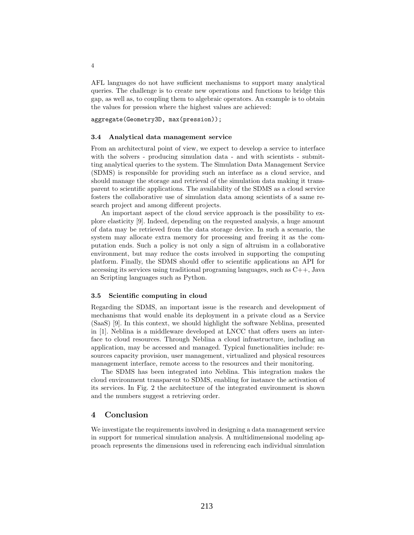AFL languages do not have sufficient mechanisms to support many analytical queries. The challenge is to create new operations and functions to bridge this gap, as well as, to coupling them to algebraic operators. An example is to obtain the values for pression where the highest values are achieved:

aggregate(Geometry3D, max(pression));

#### 3.4 Analytical data management service

From an architectural point of view, we expect to develop a service to interface with the solvers - producing simulation data - and with scientists - submitting analytical queries to the system. The Simulation Data Management Service (SDMS) is responsible for providing such an interface as a cloud service, and should manage the storage and retrieval of the simulation data making it transparent to scientific applications. The availability of the SDMS as a cloud service fosters the collaborative use of simulation data among scientists of a same research project and among different projects.

An important aspect of the cloud service approach is the possibility to explore elasticity [9]. Indeed, depending on the requested analysis, a huge amount of data may be retrieved from the data storage device. In such a scenario, the system may allocate extra memory for processing and freeing it as the computation ends. Such a policy is not only a sign of altruism in a collaborative environment, but may reduce the costs involved in supporting the computing platform. Finally, the SDMS should offer to scientific applications an API for accessing its services using traditional programing languages, such as C++, Java an Scripting languages such as Python.

#### 3.5 Scientific computing in cloud

Regarding the SDMS, an important issue is the research and development of mechanisms that would enable its deployment in a private cloud as a Service (SaaS) [9]. In this context, we should highlight the software Neblina, presented in [1]. Neblina is a middleware developed at LNCC that offers users an interface to cloud resources. Through Neblina a cloud infrastructure, including an application, may be accessed and managed. Typical functionalities include: resources capacity provision, user management, virtualized and physical resources management interface, remote access to the resources and their monitoring.

The SDMS has been integrated into Neblina. This integration makes the cloud environment transparent to SDMS, enabling for instance the activation of its services. In Fig. 2 the architecture of the integrated environment is shown and the numbers suggest a retrieving order.

#### 4 Conclusion

We investigate the requirements involved in designing a data management service in support for numerical simulation analysis. A multidimensional modeling approach represents the dimensions used in referencing each individual simulation

4